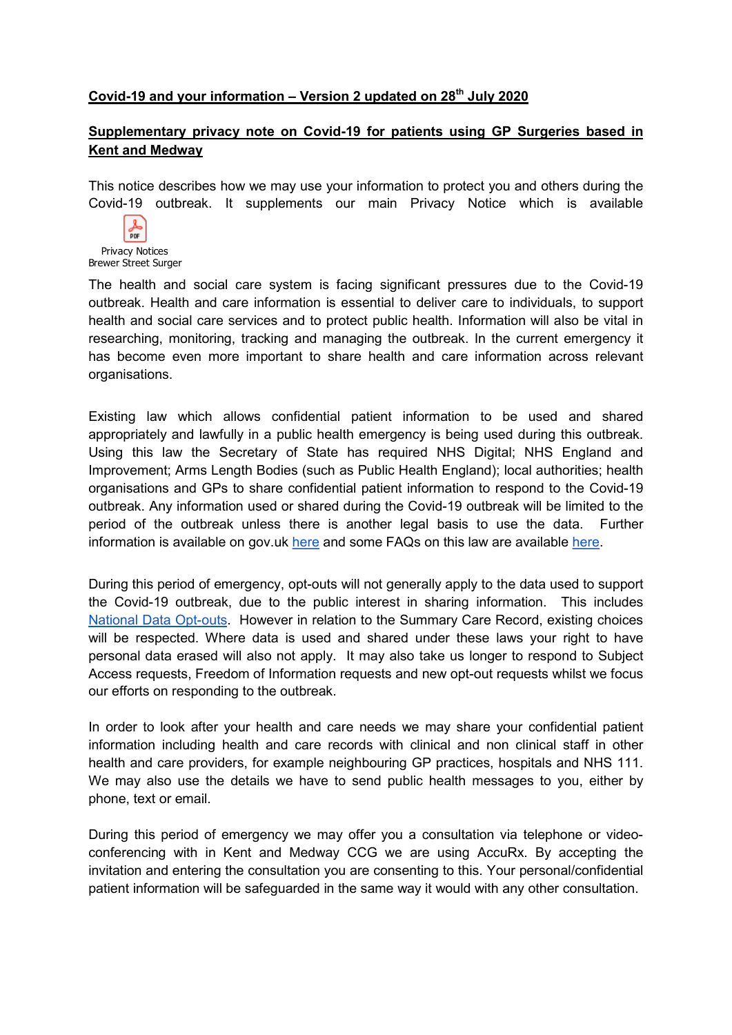## Covid-19 and your information  $-$  Version 2 updated on 28<sup>th</sup> July 2020

## Supplementary privacy note on Covid-19 for patients using GP Surgeries based in Kent and Medway

This notice describes how we may use your information to protect you and others during the Covid-19 outbreak. It supplements our main Privacy Notice which is available



Privacy Notices Brewer Street Surger

The health and social care system is facing significant pressures due to the Covid-19 outbreak. Health and care information is essential to deliver care to individuals, to support health and social care services and to protect public health. Information will also be vital in researching, monitoring, tracking and managing the outbreak. In the current emergency it has become even more important to share health and care information across relevant organisations.

Existing law which allows confidential patient information to be used and shared appropriately and lawfully in a public health emergency is being used during this outbreak. Using this law the Secretary of State has required NHS Digital; NHS England and Improvement; Arms Length Bodies (such as Public Health England); local authorities; health organisations and GPs to share confidential patient information to respond to the Covid-19 outbreak. Any information used or shared during the Covid-19 outbreak will be limited to the period of the outbreak unless there is another legal basis to use the data. Further information is available on gov.uk here and some FAQs on this law are available here.

During this period of emergency, opt-outs will not generally apply to the data used to support the Covid-19 outbreak, due to the public interest in sharing information. This includes National Data Opt-outs. However in relation to the Summary Care Record, existing choices will be respected. Where data is used and shared under these laws your right to have personal data erased will also not apply. It may also take us longer to respond to Subject Access requests, Freedom of Information requests and new opt-out requests whilst we focus our efforts on responding to the outbreak.

In order to look after your health and care needs we may share your confidential patient information including health and care records with clinical and non clinical staff in other health and care providers, for example neighbouring GP practices, hospitals and NHS 111. We may also use the details we have to send public health messages to you, either by phone, text or email.

During this period of emergency we may offer you a consultation via telephone or videoconferencing with in Kent and Medway CCG we are using AccuRx. By accepting the invitation and entering the consultation you are consenting to this. Your personal/confidential patient information will be safeguarded in the same way it would with any other consultation.